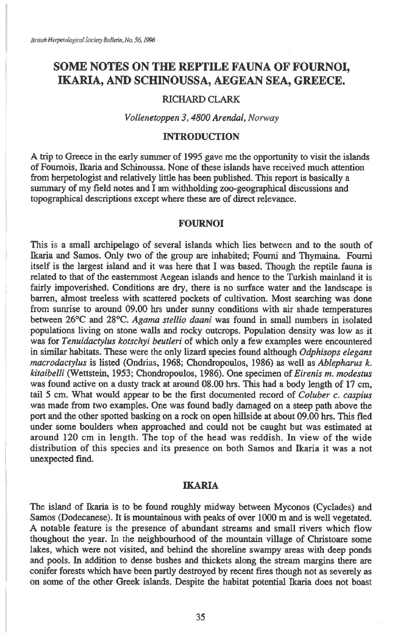# **SOME NOTES ON THE REPTILE FAUNA OF FOURNOI, IKARIA, AND SCHINOUSSA, AEGEAN SEA, GREECE.**

#### RICHARD CLARK

*Vollenetoppen 3, 4800 Arendal, Norway* 

### INTRODUCTION

A trip to Greece in the early summer of 1995 gave me the opportunity to visit the islands of Fournois, Ikaria and Schinoussa. None of these islands have received much attention from herpetologist and relatively little has been published. This report is basically a summary of my field notes and I am withholding zoo-geographical discussions and topographical descriptions except where these are of direct relevance.

#### **FOURNOI**

This is a small archipelago of several islands which lies between and to the south of Ikaria and Samos. Only two of the group are inhabited; Fourni and Thymaina. Fourni itself is the largest island and it was here that I was based. Though the reptile fauna is related to that of the easternmost Aegean islands and hence to the Turkish mainland it is fairly impoverished. Conditions are dry, there is no surface water and the landscape is barren, almost treeless with scattered pockets of cultivation. Most searching was done from sunrise to around 09.00 hrs under sunny conditions with air shade temperatures between 26°C and 28°C. *Agama stellio daani* was found in small numbers in isolated populations living on stone walls and rocky outcrops. Population density was low as it was for *Tenuidactylus kotschyi beutleri* of which only a few examples were encountered in similar habitats. These were the only lizard species found although *Odphisops elegans macrodactylus* is listed (Ondrias, 1968; Chondropoulos, 1986) as well as *Ablepharus k. kitaibelli* (Wettstein, 1953; Chondropoulos, 1986). One specimen of *Eirenis m. modestus*  was found active on a dusty track at around 08.00 hrs. This had a body length of 17 cm, tail 5 cm. What would appear to be the first documented record of *Coluber c. caspius*  was made from two examples. One was found badly damaged on a steep path above the port and the other spotted basking on a rock on open hillside at about 09.00 hrs. This fled under some boulders when approached and could not be caught but was estimated at around 120 cm in length. The top of the head was reddish. In view of the wide distribution of this species and its presence on both Samos and Ikaria it was a not unexpected find.

#### IKARIA

The island of Ikaria is to be found roughly midway between Myconos (Cyclades) and Samos (Dodecanese). It is mountainous with peaks of over 1000 m and is well vegetated. A notable feature is the presence of abundant streams and small rivers which flow thoughout the year. In the neighbourhood of the mountain village of Christoare some lakes, which were not visited, and behind the shoreline swampy areas with deep ponds and pools. In addition to dense bushes and thickets along the stream margins there are conifer forests which have been partly destroyed by recent fires though not as severely as on some of the other Greek islands. Despite the habitat potential Ikaria does not boast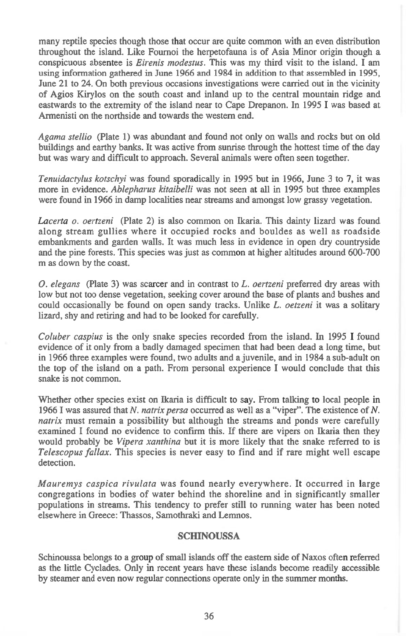many reptile species though those that occur are quite common with an even distribution throughout the island. Like Fournoi the herpetofauna is of Asia Minor origin though a conspicuous absentee is *Eirenis modestus.* This was my third visit to the island. I am using information gathered in June 1966 and 1984 in addition to that assembled in 1995, June 21 to 24. On both previous occasions investigations were carried out in the vicinity of Agios Kirylos on the south coast and inland up to the central mountain ridge and eastwards to the extremity of the island near to Cape Drepanon. In 1995 I was based at Armenisti on the northside and towards the western end.

*Agama stellio (Plate* 1) was abundant and found not only on walls and rocks but on old buildings and earthy banks. It was active from sunrise through the hottest time of the day but was wary and difficult to approach. Several animals were often seen together.

*Tenuidactylus kotschyi* was found sporadically in 1995 but in 1966, June 3 to 7, it was more in evidence. *Ablepharus kitaibelli* was not seen at all in 1995 but three examples were found in 1966 in damp localities near streams and amongst low grassy vegetation.

*Lacerta o. oertzeni* (Plate 2) is also common on Ikaria. This dainty lizard was found along stream gullies where it occupied rocks and bouldes as well as roadside embankments and garden walls. It was much less in evidence in open dry countryside and the pine forests. This species was just as common at higher altitudes around 600-700 m as down by the coast.

*0. elegans* (Plate 3) was scarcer and in contrast to *L. oertzeni* preferred dry areas with low but not too dense vegetation, seeking cover around the base of plants and bushes and could occasionally be found on open sandy tracks. Unlike *L. oetzeni* it was a solitary lizard, shy and retiring and had to be looked for carefully.

*Coluber caspius* is the only snake species recorded from the island. In 1995 I found evidence of it only from a badly damaged specimen that had been dead a long time, but in 1966 three examples were found, two adults and a juvenile, and in 1984 a sub-adult on the top of the island on a path. From personal experience I would conclude that this snake is not common.

Whether other species exist on Ikaria is difficult to say. From talking to local people in 1966 I was assured that *N. natrix persa* occurred as well as a "viper". The existence of *N. natrix* must remain a possibility but although the streams and ponds were carefully examined I found no evidence to confirm this. If there are vipers on Ikaria then they would probably be *Vipera xanthina* but it is more likely that the snake referred to is *Telescopus fallax.* This species is never easy to find and if rare might well escape detection.

*Mauremys caspica rivulata* was found nearly everywhere. It occurred in large congregations in bodies of water behind the shoreline and in significantly smaller populations in streams. This tendency to prefer still to running water has been noted elsewhere in Greece: Thassos, Samothraki and Lemnos.

#### **SCHINOUSSA**

Schinoussa belongs to a group of small islands off the eastern side of Naxos often referred as the little Cyclades. Only in recent years have these islands become readily accessible by steamer and even now regular connections operate only in the summer months.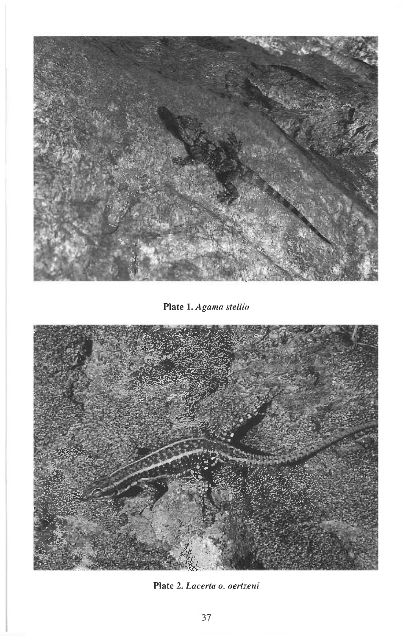

Plate 1. Agama stellio



Plate 2. Lacerta o. oertzeni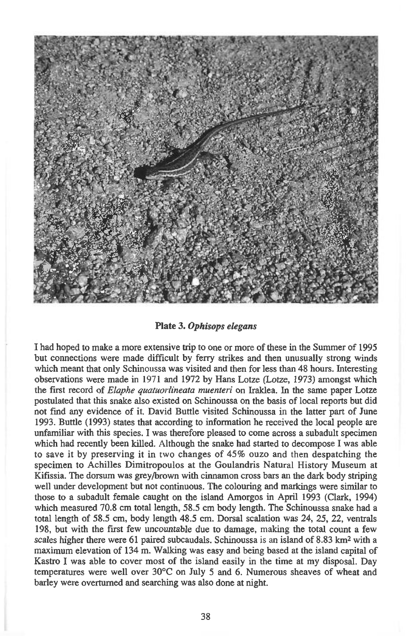

**Plate** *3. Ophisops elegans* 

**I had hoped to make a more extensive trip to one or more of these in the Summer of 1995 but connections were made difficult by ferry strikes and then unusually strong winds which meant that only Schinoussa was visited and then for less than 48 hours. Interesting observations were made in 1971 and 1972 by Hans Lotze (Lotze, 1973) amongst which the first record of** *Elaphe quatuorlineata muenteri* **on Iraidea. In the same paper Lotze postulated that this snake also existed on Schinoussa on the basis of local reports but did not find any evidence of it. David Buttle visited Schinoussa in the latter part of June 1993. Buttle (1993) states that according to information he received the local people are unfamiliar with this species. I was therefore pleased to come across a subadult specimen which had recently been killed. Although the snake had started to decompose I was able to save it by preserving it in two changes of 45% ouzo and then despatching the specimen to Achilles Dimitropoulos at the Goulandris Natural History Museum at Kifissia. The dorsum was grey/brown with cinnamon cross bars an the dark body striping well under development but not continuous. The colouring and markings were similar to those to a subadult female caught on the island Amorgos in April 1993 (Clark, 1994) which measured 70.8 cm total length, 58.5 cm body length. The Schinoussa snake had a total length of 58.5 cm, body length 48.5 cm. Dorsal scalation was 24, 25, 22, ventrals 198, but with the first few uncountable due to damage, making the total count a few scales higher there were 61 paired subcaudals. Schinoussa is an island of 8.83 km2with a maximum elevation of 134 m. Walking was easy and being based at the island capital of Kastro I was able to cover most of the island easily in the time at my disposal. Day temperatures were well over 30°C on July 5 and 6. Numerous sheaves of wheat and barley were overturned and searching was also done at night.**